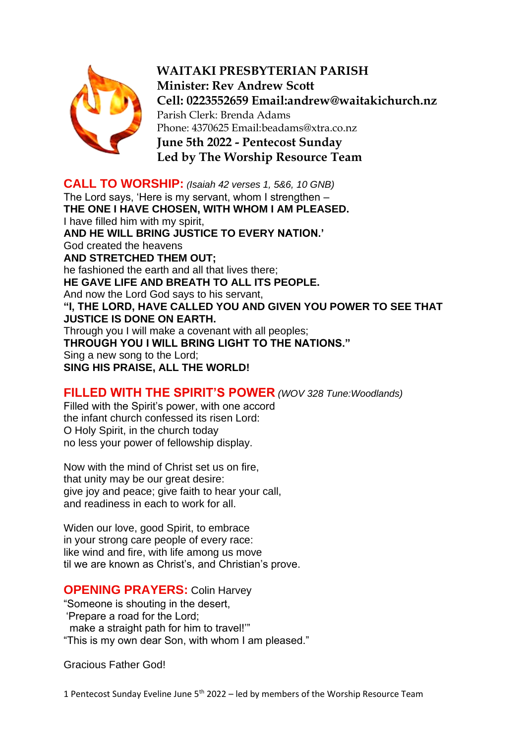

**WAITAKI PRESBYTERIAN PARISH Minister: Rev Andrew Scott Cell: 0223552659 Email:andrew@waitakichurch.nz** Parish Clerk: Brenda Adams Phone: 4370625 Email[:beadams@xtra.co.nz](mailto:beadams@xtra.co.nz) **June 5th 2022 - Pentecost Sunday Led by The Worship Resource Team**

**CALL TO WORSHIP:** *(Isaiah 42 verses 1, 5&6, 10 GNB)* The Lord says, 'Here is my servant, whom I strengthen – **THE ONE I HAVE CHOSEN, WITH WHOM I AM PLEASED.** I have filled him with my spirit, **AND HE WILL BRING JUSTICE TO EVERY NATION.'** God created the heavens **AND STRETCHED THEM OUT;** he fashioned the earth and all that lives there; **HE GAVE LIFE AND BREATH TO ALL ITS PEOPLE.** And now the Lord God says to his servant, **"I, THE LORD, HAVE CALLED YOU AND GIVEN YOU POWER TO SEE THAT JUSTICE IS DONE ON EARTH.**  Through you I will make a covenant with all peoples; **THROUGH YOU I WILL BRING LIGHT TO THE NATIONS."** Sing a new song to the Lord; **SING HIS PRAISE, ALL THE WORLD!**

# **FILLED WITH THE SPIRIT'S POWER** *(WOV 328 Tune:Woodlands)*

Filled with the Spirit's power, with one accord the infant church confessed its risen Lord: O Holy Spirit, in the church today no less your power of fellowship display.

Now with the mind of Christ set us on fire, that unity may be our great desire: give joy and peace; give faith to hear your call, and readiness in each to work for all.

Widen our love, good Spirit, to embrace in your strong care people of every race: like wind and fire, with life among us move til we are known as Christ's, and Christian's prove.

## **OPENING PRAYERS:** Colin Harvey

"Someone is shouting in the desert, 'Prepare a road for the Lord; make a straight path for him to travel!" "This is my own dear Son, with whom I am pleased."

Gracious Father God!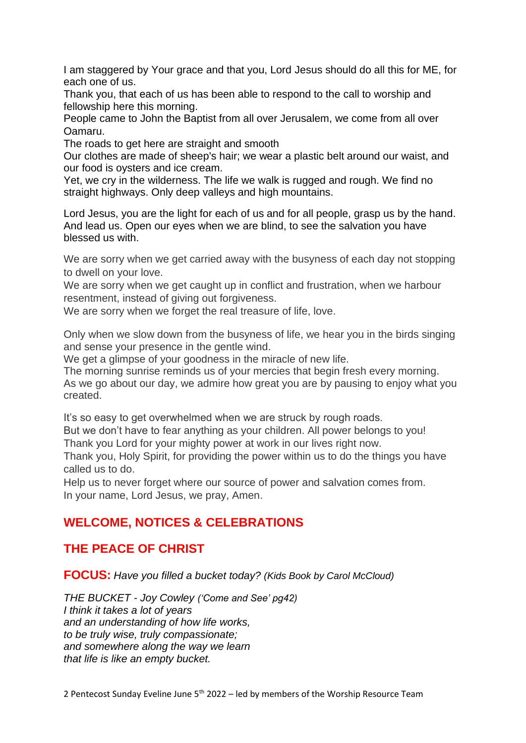I am staggered by Your grace and that you, Lord Jesus should do all this for ME, for each one of us.

Thank you, that each of us has been able to respond to the call to worship and fellowship here this morning.

People came to John the Baptist from all over Jerusalem, we come from all over Oamaru.

The roads to get here are straight and smooth

Our clothes are made of sheep's hair; we wear a plastic belt around our waist, and our food is oysters and ice cream.

Yet, we cry in the wilderness. The life we walk is rugged and rough. We find no straight highways. Only deep valleys and high mountains.

Lord Jesus, you are the light for each of us and for all people, grasp us by the hand. And lead us. Open our eyes when we are blind, to see the salvation you have blessed us with.

We are sorry when we get carried away with the busyness of each day not stopping to dwell on your love.

We are sorry when we get caught up in conflict and frustration, when we harbour resentment, instead of giving out forgiveness.

We are sorry when we forget the real treasure of life, love.

Only when we slow down from the busyness of life, we hear you in the birds singing and sense your presence in the gentle wind.

We get a glimpse of your goodness in the miracle of new life.

The morning sunrise reminds us of your mercies that begin fresh every morning. As we go about our day, we admire how great you are by pausing to enjoy what you created.

It's so easy to get overwhelmed when we are struck by rough roads.

But we don't have to fear anything as your children. All power belongs to you! Thank you Lord for your mighty power at work in our lives right now.

Thank you, Holy Spirit, for providing the power within us to do the things you have called us to do.

Help us to never forget where our source of power and salvation comes from. In your name, Lord Jesus, we pray, Amen.

# **WELCOME, NOTICES & CELEBRATIONS**

# **THE PEACE OF CHRIST**

**FOCUS:** *Have you filled a bucket today? (Kids Book by Carol McCloud)*

*THE BUCKET - Joy Cowley ('Come and See' pg42) I think it takes a lot of years and an understanding of how life works, to be truly wise, truly compassionate; and somewhere along the way we learn that life is like an empty bucket.*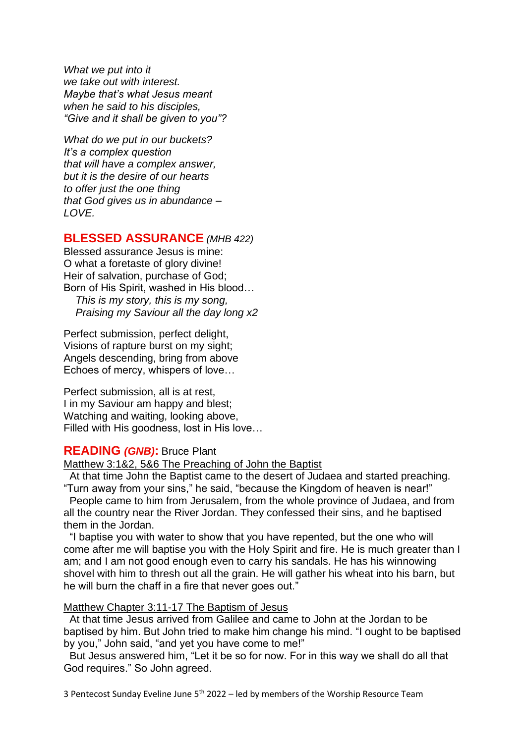*What we put into it we take out with interest. Maybe that's what Jesus meant when he said to his disciples, "Give and it shall be given to you"?*

*What do we put in our buckets? It's a complex question that will have a complex answer, but it is the desire of our hearts to offer just the one thing that God gives us in abundance – LOVE.*

## **BLESSED ASSURANCE** *(MHB 422)*

Blessed assurance Jesus is mine: O what a foretaste of glory divine! Heir of salvation, purchase of God; Born of His Spirit, washed in His blood…  *This is my story, this is my song, Praising my Saviour all the day long x2*

Perfect submission, perfect delight, Visions of rapture burst on my sight; Angels descending, bring from above Echoes of mercy, whispers of love…

Perfect submission, all is at rest, I in my Saviour am happy and blest; Watching and waiting, looking above, Filled with His goodness, lost in His love…

#### **READING** *(GNB)***:** Bruce Plant

Matthew 3:1&2, 5&6 The Preaching of John the Baptist

 At that time John the Baptist came to the desert of Judaea and started preaching. "Turn away from your sins," he said, "because the Kingdom of heaven is near!" People came to him from Jerusalem, from the whole province of Judaea, and from all the country near the River Jordan. They confessed their sins, and he baptised them in the Jordan.

 "I baptise you with water to show that you have repented, but the one who will come after me will baptise you with the Holy Spirit and fire. He is much greater than I am; and I am not good enough even to carry his sandals. He has his winnowing shovel with him to thresh out all the grain. He will gather his wheat into his barn, but he will burn the chaff in a fire that never goes out."

### Matthew Chapter 3:11-17 The Baptism of Jesus

 At that time Jesus arrived from Galilee and came to John at the Jordan to be baptised by him. But John tried to make him change his mind. "I ought to be baptised by you," John said, "and yet you have come to me!"

 But Jesus answered him, "Let it be so for now. For in this way we shall do all that God requires." So John agreed.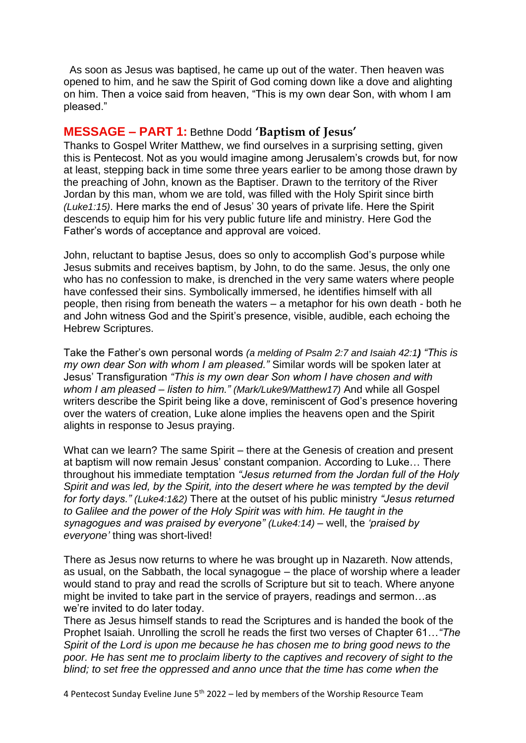As soon as Jesus was baptised, he came up out of the water. Then heaven was opened to him, and he saw the Spirit of God coming down like a dove and alighting on him. Then a voice said from heaven, "This is my own dear Son, with whom I am pleased."

# **MESSAGE – PART 1:** Bethne Dodd **'Baptism of Jesus'**

Thanks to Gospel Writer Matthew, we find ourselves in a surprising setting, given this is Pentecost. Not as you would imagine among Jerusalem's crowds but, for now at least, stepping back in time some three years earlier to be among those drawn by the preaching of John, known as the Baptiser. Drawn to the territory of the River Jordan by this man, whom we are told, was filled with the Holy Spirit since birth *(Luke1:15)*. Here marks the end of Jesus' 30 years of private life. Here the Spirit descends to equip him for his very public future life and ministry. Here God the Father's words of acceptance and approval are voiced.

John, reluctant to baptise Jesus, does so only to accomplish God's purpose while Jesus submits and receives baptism, by John, to do the same. Jesus, the only one who has no confession to make, is drenched in the very same waters where people have confessed their sins. Symbolically immersed, he identifies himself with all people, then rising from beneath the waters – a metaphor for his own death - both he and John witness God and the Spirit's presence, visible, audible, each echoing the Hebrew Scriptures.

Take the Father's own personal words *(a melding of Psalm 2:7 and Isaiah 42:1) "This is my own dear Son with whom I am pleased."* Similar words will be spoken later at Jesus' Transfiguration *"This is my own dear Son whom I have chosen and with whom I am pleased – listen to him." (Mark/Luke9/Matthew17)* And while all Gospel writers describe the Spirit being like a dove, reminiscent of God's presence hovering over the waters of creation, Luke alone implies the heavens open and the Spirit alights in response to Jesus praying.

What can we learn? The same Spirit – there at the Genesis of creation and present at baptism will now remain Jesus' constant companion. According to Luke… There throughout his immediate temptation *"Jesus returned from the Jordan full of the Holy Spirit and was led, by the Spirit, into the desert where he was tempted by the devil for forty days." (Luke4:1&2)* There at the outset of his public ministry *"Jesus returned to Galilee and the power of the Holy Spirit was with him. He taught in the synagogues and was praised by everyone" (Luke4:14)* – well, the *'praised by everyone'* thing was short-lived!

There as Jesus now returns to where he was brought up in Nazareth. Now attends, as usual, on the Sabbath, the local synagogue – the place of worship where a leader would stand to pray and read the scrolls of Scripture but sit to teach. Where anyone might be invited to take part in the service of prayers, readings and sermon…as we're invited to do later today.

There as Jesus himself stands to read the Scriptures and is handed the book of the Prophet Isaiah. Unrolling the scroll he reads the first two verses of Chapter 61…*"The Spirit of the Lord is upon me because he has chosen me to bring good news to the poor. He has sent me to proclaim liberty to the captives and recovery of sight to the blind; to set free the oppressed and anno unce that the time has come when the*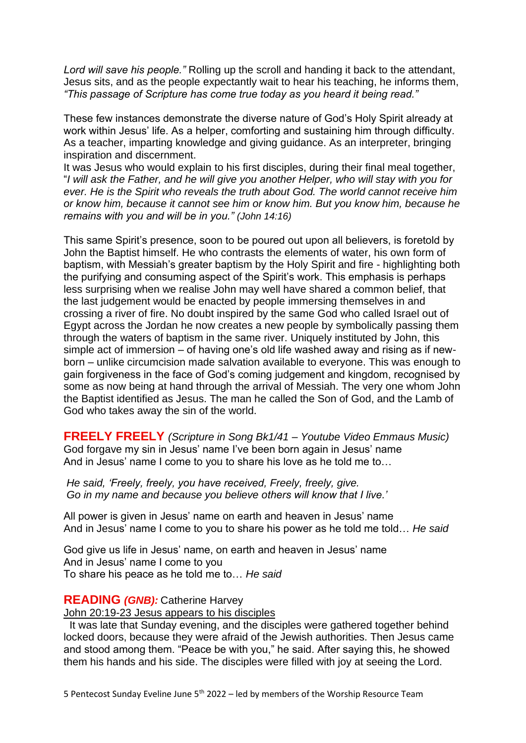*Lord will save his people."* Rolling up the scroll and handing it back to the attendant, Jesus sits, and as the people expectantly wait to hear his teaching, he informs them, *"This passage of Scripture has come true today as you heard it being read."*

These few instances demonstrate the diverse nature of God's Holy Spirit already at work within Jesus' life. As a helper, comforting and sustaining him through difficulty. As a teacher, imparting knowledge and giving guidance. As an interpreter, bringing inspiration and discernment.

It was Jesus who would explain to his first disciples, during their final meal together, "*I will ask the Father, and he will give you another Helper, who will stay with you for ever. He is the Spirit who reveals the truth about God. The world cannot receive him or know him, because it cannot see him or know him. But you know him, because he remains with you and will be in you." (John 14:16)*

This same Spirit's presence, soon to be poured out upon all believers, is foretold by John the Baptist himself. He who contrasts the elements of water, his own form of baptism, with Messiah's greater baptism by the Holy Spirit and fire - highlighting both the purifying and consuming aspect of the Spirit's work. This emphasis is perhaps less surprising when we realise John may well have shared a common belief, that the last judgement would be enacted by people immersing themselves in and crossing a river of fire. No doubt inspired by the same God who called Israel out of Egypt across the Jordan he now creates a new people by symbolically passing them through the waters of baptism in the same river. Uniquely instituted by John, this simple act of immersion – of having one's old life washed away and rising as if newborn – unlike circumcision made salvation available to everyone. This was enough to gain forgiveness in the face of God's coming judgement and kingdom, recognised by some as now being at hand through the arrival of Messiah. The very one whom John the Baptist identified as Jesus. The man he called the Son of God, and the Lamb of God who takes away the sin of the world.

**FREELY FREELY** *(Scripture in Song Bk1/41 – Youtube Video Emmaus Music)* God forgave my sin in Jesus' name I've been born again in Jesus' name And in Jesus' name I come to you to share his love as he told me to…

*He said, 'Freely, freely, you have received, Freely, freely, give. Go in my name and because you believe others will know that I live.'*

All power is given in Jesus' name on earth and heaven in Jesus' name And in Jesus' name I come to you to share his power as he told me told… *He said*

God give us life in Jesus' name, on earth and heaven in Jesus' name And in Jesus' name I come to you To share his peace as he told me to… *He said*

#### **READING** *(GNB):* Catherine Harvey

John 20:19-23 Jesus appears to his disciples

 It was late that Sunday evening, and the disciples were gathered together behind locked doors, because they were afraid of the Jewish authorities. Then Jesus came and stood among them. "Peace be with you," he said. After saying this, he showed them his hands and his side. The disciples were filled with joy at seeing the Lord.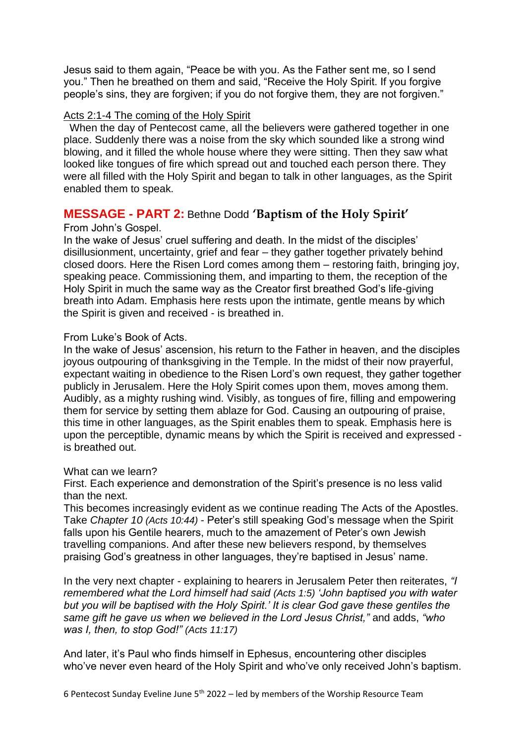Jesus said to them again, "Peace be with you. As the Father sent me, so I send you." Then he breathed on them and said, "Receive the Holy Spirit. If you forgive people's sins, they are forgiven; if you do not forgive them, they are not forgiven."

#### Acts 2:1-4 The coming of the Holy Spirit

 When the day of Pentecost came, all the believers were gathered together in one place. Suddenly there was a noise from the sky which sounded like a strong wind blowing, and it filled the whole house where they were sitting. Then they saw what looked like tongues of fire which spread out and touched each person there. They were all filled with the Holy Spirit and began to talk in other languages, as the Spirit enabled them to speak.

# **MESSAGE - PART 2:** Bethne Dodd **'Baptism of the Holy Spirit'**

## From John's Gospel.

In the wake of Jesus' cruel suffering and death. In the midst of the disciples' disillusionment, uncertainty, grief and fear – they gather together privately behind closed doors. Here the Risen Lord comes among them – restoring faith, bringing joy, speaking peace. Commissioning them, and imparting to them, the reception of the Holy Spirit in much the same way as the Creator first breathed God's life-giving breath into Adam. Emphasis here rests upon the intimate, gentle means by which the Spirit is given and received - is breathed in.

### From Luke's Book of Acts.

In the wake of Jesus' ascension, his return to the Father in heaven, and the disciples joyous outpouring of thanksgiving in the Temple. In the midst of their now prayerful, expectant waiting in obedience to the Risen Lord's own request, they gather together publicly in Jerusalem. Here the Holy Spirit comes upon them, moves among them. Audibly, as a mighty rushing wind. Visibly, as tongues of fire, filling and empowering them for service by setting them ablaze for God. Causing an outpouring of praise, this time in other languages, as the Spirit enables them to speak. Emphasis here is upon the perceptible, dynamic means by which the Spirit is received and expressed is breathed out.

#### What can we learn?

First. Each experience and demonstration of the Spirit's presence is no less valid than the next.

This becomes increasingly evident as we continue reading The Acts of the Apostles. Take *Chapter 10 (Acts 10:44)* - Peter's still speaking God's message when the Spirit falls upon his Gentile hearers, much to the amazement of Peter's own Jewish travelling companions. And after these new believers respond, by themselves praising God's greatness in other languages, they're baptised in Jesus' name.

In the very next chapter - explaining to hearers in Jerusalem Peter then reiterates, *"I remembered what the Lord himself had said (Acts 1:5) 'John baptised you with water but you will be baptised with the Holy Spirit.' It is clear God gave these gentiles the same gift he gave us when we believed in the Lord Jesus Christ,"* and adds, *"who was I, then, to stop God!" (Acts 11:17)*

And later, it's Paul who finds himself in Ephesus, encountering other disciples who've never even heard of the Holy Spirit and who've only received John's baptism.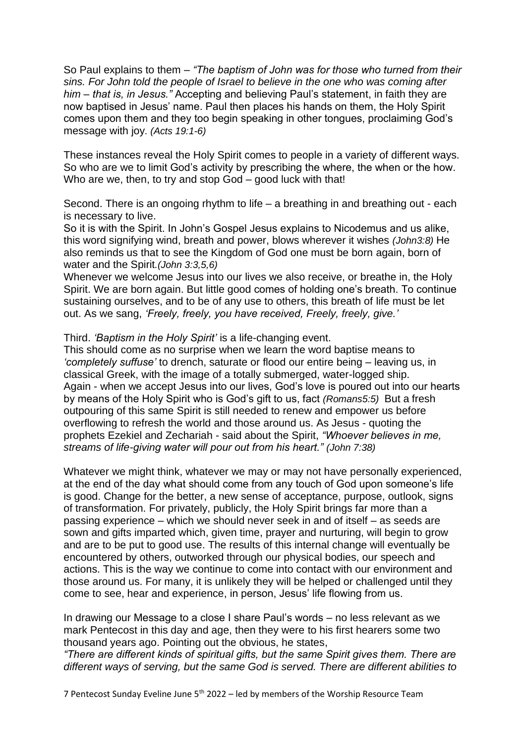So Paul explains to them – *"The baptism of John was for those who turned from their sins. For John told the people of Israel to believe in the one who was coming after him – that is, in Jesus."* Accepting and believing Paul's statement, in faith they are now baptised in Jesus' name. Paul then places his hands on them, the Holy Spirit comes upon them and they too begin speaking in other tongues, proclaiming God's message with joy*. (Acts 19:1-6)*

These instances reveal the Holy Spirit comes to people in a variety of different ways. So who are we to limit God's activity by prescribing the where, the when or the how. Who are we, then, to try and stop God – good luck with that!

Second. There is an ongoing rhythm to life – a breathing in and breathing out - each is necessary to live.

So it is with the Spirit. In John's Gospel Jesus explains to Nicodemus and us alike, this word signifying wind, breath and power, blows wherever it wishes *(John3:8)* He also reminds us that to see the Kingdom of God one must be born again, born of water and the Spirit*.(John 3:3,5,6)*

Whenever we welcome Jesus into our lives we also receive, or breathe in, the Holy Spirit. We are born again. But little good comes of holding one's breath. To continue sustaining ourselves, and to be of any use to others, this breath of life must be let out. As we sang, *'Freely, freely, you have received, Freely, freely, give.'*

Third. *'Baptism in the Holy Spirit'* is a life-changing event.

This should come as no surprise when we learn the word baptise means to *'completely suffuse'* to drench, saturate or flood our entire being – leaving us, in classical Greek, with the image of a totally submerged, water-logged ship. Again - when we accept Jesus into our lives, God's love is poured out into our hearts by means of the Holy Spirit who is God's gift to us, fact *(Romans5:5)* But a fresh outpouring of this same Spirit is still needed to renew and empower us before overflowing to refresh the world and those around us. As Jesus - quoting the prophets Ezekiel and Zechariah - said about the Spirit, *"Whoever believes in me, streams of life-giving water will pour out from his heart." (John 7:38)*

Whatever we might think, whatever we may or may not have personally experienced, at the end of the day what should come from any touch of God upon someone's life is good. Change for the better, a new sense of acceptance, purpose, outlook, signs of transformation. For privately, publicly, the Holy Spirit brings far more than a passing experience – which we should never seek in and of itself – as seeds are sown and gifts imparted which, given time, prayer and nurturing, will begin to grow and are to be put to good use. The results of this internal change will eventually be encountered by others, outworked through our physical bodies, our speech and actions. This is the way we continue to come into contact with our environment and those around us. For many, it is unlikely they will be helped or challenged until they come to see, hear and experience, in person, Jesus' life flowing from us.

In drawing our Message to a close I share Paul's words – no less relevant as we mark Pentecost in this day and age, then they were to his first hearers some two thousand years ago. Pointing out the obvious, he states,

*"There are different kinds of spiritual gifts, but the same Spirit gives them. There are different ways of serving, but the same God is served. There are different abilities to*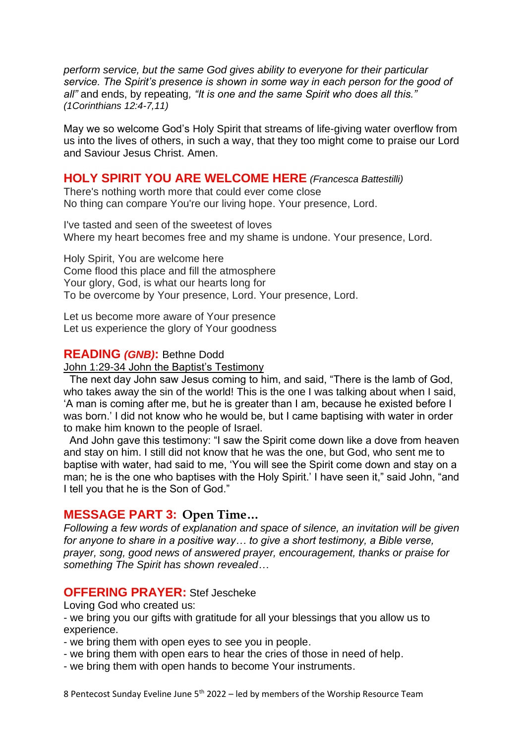*perform service, but the same God gives ability to everyone for their particular service. The Spirit's presence is shown in some way in each person for the good of all"* and ends, by repeating*, "It is one and the same Spirit who does all this." (1Corinthians 12:4-7,11)*

May we so welcome God's Holy Spirit that streams of life-giving water overflow from us into the lives of others, in such a way, that they too might come to praise our Lord and Saviour Jesus Christ. Amen.

# **HOLY SPIRIT YOU ARE WELCOME HERE** *(Francesca Battestilli)*

There's nothing worth more that could ever come close No thing can compare You're our living hope. Your presence, Lord.

I've tasted and seen of the sweetest of loves Where my heart becomes free and my shame is undone. Your presence, Lord.

Holy Spirit, You are welcome here Come flood this place and fill the atmosphere Your glory, God, is what our hearts long for To be overcome by Your presence, Lord. Your presence, Lord.

Let us become more aware of Your presence Let us experience the glory of Your goodness

#### **READING** *(GNB)***:** Bethne Dodd

John 1:29-34 John the Baptist's Testimony

 The next day John saw Jesus coming to him, and said, "There is the lamb of God, who takes away the sin of the world! This is the one I was talking about when I said. 'A man is coming after me, but he is greater than I am, because he existed before I was born.' I did not know who he would be, but I came baptising with water in order to make him known to the people of Israel.

 And John gave this testimony: "I saw the Spirit come down like a dove from heaven and stay on him. I still did not know that he was the one, but God, who sent me to baptise with water, had said to me, 'You will see the Spirit come down and stay on a man; he is the one who baptises with the Holy Spirit.' I have seen it," said John, "and I tell you that he is the Son of God."

## **MESSAGE PART 3: Open Time…**

*Following a few words of explanation and space of silence, an invitation will be given for anyone to share in a positive way… to give a short testimony, a Bible verse, prayer, song, good news of answered prayer, encouragement, thanks or praise for something The Spirit has shown revealed…*

#### **OFFERING PRAYER:** Stef Jescheke

Loving God who created us:

- we bring you our gifts with gratitude for all your blessings that you allow us to experience.

- we bring them with open eyes to see you in people.

- we bring them with open ears to hear the cries of those in need of help.
- we bring them with open hands to become Your instruments.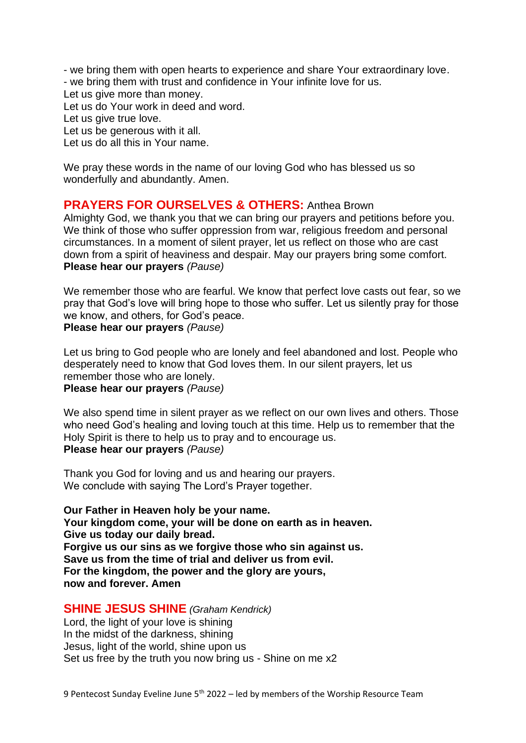- we bring them with open hearts to experience and share Your extraordinary love. - we bring them with trust and confidence in Your infinite love for us. Let us give more than money. Let us do Your work in deed and word. Let us give true love. Let us be generous with it all. Let us do all this in Your name.

We pray these words in the name of our loving God who has blessed us so wonderfully and abundantly. Amen.

## **PRAYERS FOR OURSELVES & OTHERS:** Anthea Brown

Almighty God, we thank you that we can bring our prayers and petitions before you. We think of those who suffer oppression from war, religious freedom and personal circumstances. In a moment of silent prayer, let us reflect on those who are cast down from a spirit of heaviness and despair. May our prayers bring some comfort. **Please hear our prayers** *(Pause)*

We remember those who are fearful. We know that perfect love casts out fear, so we pray that God's love will bring hope to those who suffer. Let us silently pray for those we know, and others, for God's peace.

**Please hear our prayers** *(Pause)*

Let us bring to God people who are lonely and feel abandoned and lost. People who desperately need to know that God loves them. In our silent prayers, let us remember those who are lonely.

**Please hear our prayers** *(Pause)*

We also spend time in silent prayer as we reflect on our own lives and others. Those who need God's healing and loving touch at this time. Help us to remember that the Holy Spirit is there to help us to pray and to encourage us. **Please hear our prayers** *(Pause)*

Thank you God for loving and us and hearing our prayers. We conclude with saying The Lord's Prayer together.

**Our Father in Heaven holy be your name. Your kingdom come, your will be done on earth as in heaven. Give us today our daily bread. Forgive us our sins as we forgive those who sin against us. Save us from the time of trial and deliver us from evil. For the kingdom, the power and the glory are yours, now and forever. Amen**

## **SHINE JESUS SHINE** *(Graham Kendrick)*

Lord, the light of your love is shining In the midst of the darkness, shining Jesus, light of the world, shine upon us Set us free by the truth you now bring us - Shine on me x2